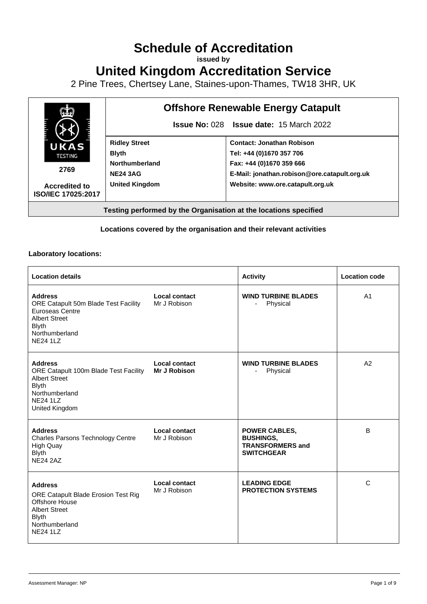# **Schedule of Accreditation**

**issued by**

**United Kingdom Accreditation Service**

2 Pine Trees, Chertsey Lane, Staines-upon-Thames, TW18 3HR, UK



#### **Locations covered by the organisation and their relevant activities**

#### **Laboratory locations:**

| <b>Location details</b>                                                                                                                                |                                      | <b>Activity</b>                                                                          | <b>Location code</b> |
|--------------------------------------------------------------------------------------------------------------------------------------------------------|--------------------------------------|------------------------------------------------------------------------------------------|----------------------|
| <b>Address</b><br>ORE Catapult 50m Blade Test Facility<br>Euroseas Centre<br><b>Albert Street</b><br><b>Blyth</b><br>Northumberland<br><b>NE24 1LZ</b> | <b>Local contact</b><br>Mr J Robison | <b>WIND TURBINE BLADES</b><br>Physical                                                   | A <sub>1</sub>       |
| <b>Address</b><br>ORE Catapult 100m Blade Test Facility<br><b>Albert Street</b><br><b>Blyth</b><br>Northumberland<br><b>NE24 1LZ</b><br>United Kingdom | Local contact<br><b>Mr J Robison</b> | <b>WIND TURBINE BLADES</b><br>Physical                                                   | A2                   |
| <b>Address</b><br>Charles Parsons Technology Centre<br><b>High Quay</b><br><b>Blyth</b><br>NF24 2AZ                                                    | Local contact<br>Mr J Robison        | <b>POWER CABLES,</b><br><b>BUSHINGS,</b><br><b>TRANSFORMERS and</b><br><b>SWITCHGEAR</b> | B                    |
| <b>Address</b><br>ORE Catapult Blade Erosion Test Rig<br>Offshore House<br><b>Albert Street</b><br><b>Blyth</b><br>Northumberland<br><b>NE24 1LZ</b>   | Local contact<br>Mr J Robison        | <b>LEADING EDGE</b><br><b>PROTECTION SYSTEMS</b>                                         | C                    |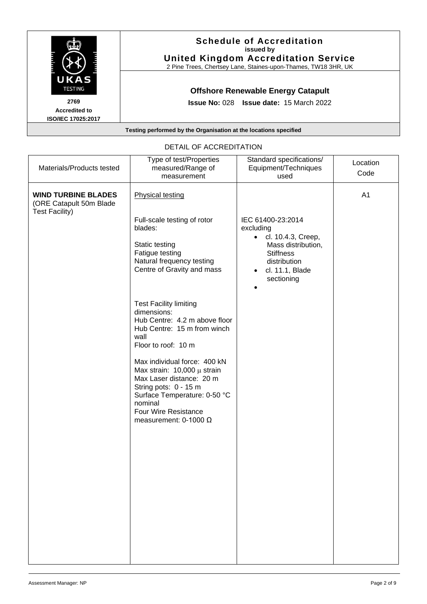

| Materials/Products tested                                                      | measured/Range of<br>measurement                                                                                                                                                                                                                                                                                                                                                                                                                                    | Standard specifications/<br>Equipment/Techniques<br>used                                                                                                                  | Location<br>Code |
|--------------------------------------------------------------------------------|---------------------------------------------------------------------------------------------------------------------------------------------------------------------------------------------------------------------------------------------------------------------------------------------------------------------------------------------------------------------------------------------------------------------------------------------------------------------|---------------------------------------------------------------------------------------------------------------------------------------------------------------------------|------------------|
| <b>WIND TURBINE BLADES</b><br>(ORE Catapult 50m Blade<br><b>Test Facility)</b> | Type of test/Properties<br><b>Physical testing</b><br>Full-scale testing of rotor<br>blades:<br>Static testing<br>Fatigue testing<br>Natural frequency testing<br>Centre of Gravity and mass<br><b>Test Facility limiting</b><br>dimensions:<br>Hub Centre: 4.2 m above floor<br>Hub Centre: 15 m from winch<br>wall<br>Floor to roof: 10 m<br>Max individual force: 400 kN<br>Max strain: $10,000 \mu$ strain<br>Max Laser distance: 20 m<br>String pots: 0 - 15 m | IEC 61400-23:2014<br>excluding<br>cl. 10.4.3, Creep,<br>$\bullet$<br>Mass distribution,<br><b>Stiffness</b><br>distribution<br>cl. 11.1, Blade<br>$\bullet$<br>sectioning | A1               |
|                                                                                | Surface Temperature: 0-50 °C<br>nominal<br><b>Four Wire Resistance</b><br>measurement: 0-1000 $\Omega$                                                                                                                                                                                                                                                                                                                                                              |                                                                                                                                                                           |                  |

# DETAIL OF ACCREDITATION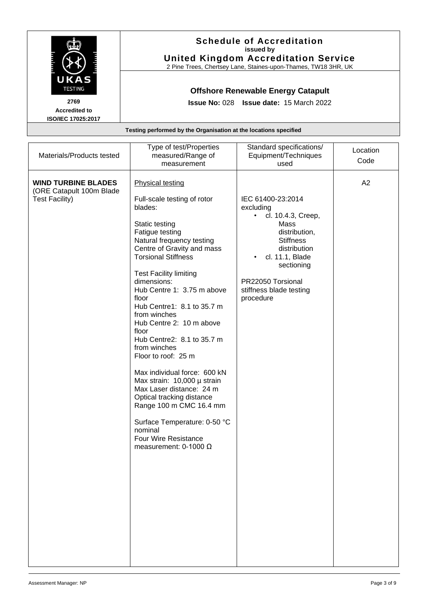|                                                                  | <b>Schedule of Accreditation</b><br>issued by<br><b>United Kingdom Accreditation Service</b><br>2 Pine Trees, Chertsey Lane, Staines-upon-Thames, TW18 3HR, UK |
|------------------------------------------------------------------|----------------------------------------------------------------------------------------------------------------------------------------------------------------|
| UKAS<br><b>TESTING</b>                                           | <b>Offshore Renewable Energy Catapult</b>                                                                                                                      |
| 2769<br><b>Accredited to</b><br><b>ISO/IEC 17025:2017</b>        | <b>Issue No: 028 Issue date: 15 March 2022</b>                                                                                                                 |
| Testing performed by the Organisation at the locations specified |                                                                                                                                                                |

| Materials/Products tested                                                       | Type of test/Properties<br>measured/Range of<br>measurement                                                                                                                                                                                                                                                                                                                                                                                                                                                                                                                                                                                                                                                 | Standard specifications/<br>Equipment/Techniques<br>used                                                                                                                                                             | Location<br>Code |
|---------------------------------------------------------------------------------|-------------------------------------------------------------------------------------------------------------------------------------------------------------------------------------------------------------------------------------------------------------------------------------------------------------------------------------------------------------------------------------------------------------------------------------------------------------------------------------------------------------------------------------------------------------------------------------------------------------------------------------------------------------------------------------------------------------|----------------------------------------------------------------------------------------------------------------------------------------------------------------------------------------------------------------------|------------------|
| <b>WIND TURBINE BLADES</b><br>(ORE Catapult 100m Blade<br><b>Test Facility)</b> | <b>Physical testing</b><br>Full-scale testing of rotor<br>blades:<br>Static testing<br>Fatigue testing<br>Natural frequency testing<br>Centre of Gravity and mass<br><b>Torsional Stiffness</b><br><b>Test Facility limiting</b><br>dimensions:<br>Hub Centre 1: 3.75 m above<br>floor<br>Hub Centre1: 8.1 to 35.7 m<br>from winches<br>Hub Centre 2: 10 m above<br>floor<br>Hub Centre2: 8.1 to 35.7 m<br>from winches<br>Floor to roof: 25 m<br>Max individual force: 600 kN<br>Max strain: 10,000 µ strain<br>Max Laser distance: 24 m<br>Optical tracking distance<br>Range 100 m CMC 16.4 mm<br>Surface Temperature: 0-50 °C<br>nominal<br><b>Four Wire Resistance</b><br>measurement: $0-1000 \Omega$ | IEC 61400-23:2014<br>excluding<br>cl. 10.4.3, Creep,<br>٠<br>Mass<br>distribution,<br><b>Stiffness</b><br>distribution<br>cl. 11.1, Blade<br>sectioning<br>PR22050 Torsional<br>stiffness blade testing<br>procedure | A2               |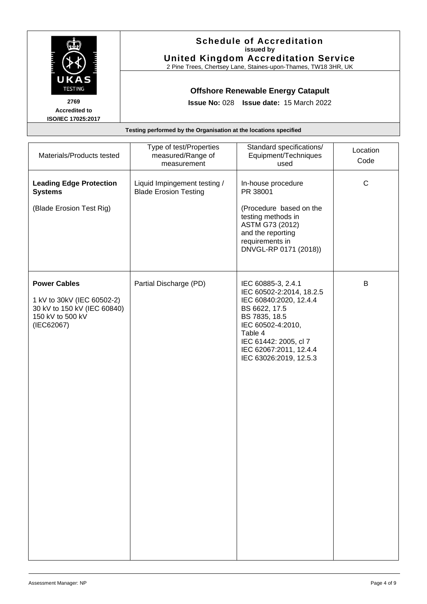|                                                    | <b>Schedule of Accreditation</b><br>issued by<br><b>United Kingdom Accreditation Service</b><br>2 Pine Trees, Chertsey Lane, Staines-upon-Thames, TW18 3HR, UK |
|----------------------------------------------------|----------------------------------------------------------------------------------------------------------------------------------------------------------------|
| UKAS<br><b>TESTING</b>                             | <b>Offshore Renewable Energy Catapult</b>                                                                                                                      |
| 2769<br><b>Accredited to</b><br>ISO/IEC 17025:2017 | <b>Issue No: 028 Issue date: 15 March 2022</b>                                                                                                                 |
|                                                    | Testing performed by the Organisation at the locations specified                                                                                               |

| Materials/Products tested                                                                                          | Type of test/Properties<br>measured/Range of<br>measurement  | Standard specifications/<br>Equipment/Techniques<br>used                                                                                                                                                                | Location<br>Code |
|--------------------------------------------------------------------------------------------------------------------|--------------------------------------------------------------|-------------------------------------------------------------------------------------------------------------------------------------------------------------------------------------------------------------------------|------------------|
| <b>Leading Edge Protection</b><br><b>Systems</b>                                                                   | Liquid Impingement testing /<br><b>Blade Erosion Testing</b> | In-house procedure<br>PR 38001                                                                                                                                                                                          | $\mathsf C$      |
| (Blade Erosion Test Rig)                                                                                           |                                                              | (Procedure based on the<br>testing methods in<br>ASTM G73 (2012)<br>and the reporting<br>requirements in<br>DNVGL-RP 0171 (2018))                                                                                       |                  |
| <b>Power Cables</b><br>1 kV to 30kV (IEC 60502-2)<br>30 kV to 150 kV (IEC 60840)<br>150 kV to 500 kV<br>(IEC62067) | Partial Discharge (PD)                                       | IEC 60885-3, 2.4.1<br>IEC 60502-2:2014, 18.2.5<br>IEC 60840:2020, 12.4.4<br>BS 6622, 17.5<br>BS 7835, 18.5<br>IEC 60502-4:2010,<br>Table 4<br>IEC 61442: 2005, cl 7<br>IEC 62067:2011, 12.4.4<br>IEC 63026:2019, 12.5.3 | B                |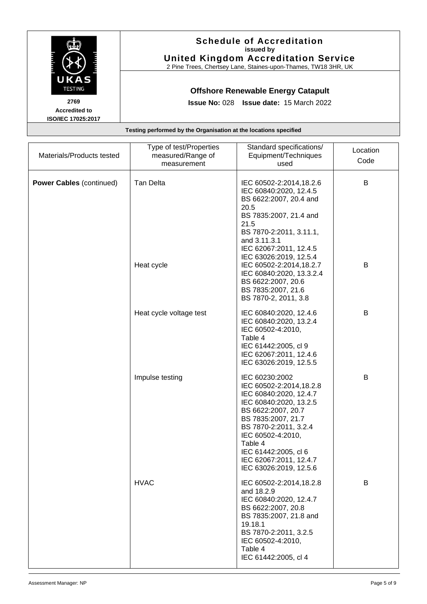

**Accredited to ISO/IEC 17025:2017**

#### **Schedule of Accreditation issued by United Kingdom Accreditation Service**

2 Pine Trees, Chertsey Lane, Staines-upon-Thames, TW18 3HR, UK

## **Offshore Renewable Energy Catapult**

**Issue No:** 028 **Issue date:** 15 March 2022

**Testing performed by the Organisation at the locations specified**

| Materials/Products tested       | Type of test/Properties<br>measured/Range of<br>measurement | Standard specifications/<br>Equipment/Techniques<br>used                                                                                                                                                                                                                       | Location<br>Code |
|---------------------------------|-------------------------------------------------------------|--------------------------------------------------------------------------------------------------------------------------------------------------------------------------------------------------------------------------------------------------------------------------------|------------------|
| <b>Power Cables (continued)</b> | <b>Tan Delta</b>                                            | IEC 60502-2:2014,18.2.6<br>IEC 60840:2020, 12.4.5<br>BS 6622:2007, 20.4 and<br>20.5<br>BS 7835:2007, 21.4 and<br>21.5<br>BS 7870-2:2011, 3.11.1,<br>and 3.11.3.1<br>IEC 62067:2011, 12.4.5<br>IEC 63026:2019, 12.5.4                                                           | B                |
|                                 | Heat cycle                                                  | IEC 60502-2:2014,18.2.7<br>IEC 60840:2020, 13.3.2.4<br>BS 6622:2007, 20.6<br>BS 7835:2007, 21.6<br>BS 7870-2, 2011, 3.8                                                                                                                                                        | B                |
|                                 | Heat cycle voltage test                                     | IEC 60840:2020, 12.4.6<br>IEC 60840:2020, 13.2.4<br>IEC 60502-4:2010,<br>Table 4<br>IEC 61442:2005, cl 9<br>IEC 62067:2011, 12.4.6<br>IEC 63026:2019, 12.5.5                                                                                                                   | B                |
|                                 | Impulse testing                                             | IEC 60230:2002<br>IEC 60502-2:2014,18.2.8<br>IEC 60840:2020, 12.4.7<br>IEC 60840:2020, 13.2.5<br>BS 6622:2007, 20.7<br>BS 7835:2007, 21.7<br>BS 7870-2:2011, 3.2.4<br>IEC 60502-4:2010,<br>Table 4<br>IEC 61442:2005, cl 6<br>IEC 62067:2011, 12.4.7<br>IEC 63026:2019, 12.5.6 | B                |
|                                 | <b>HVAC</b>                                                 | IEC 60502-2:2014,18.2.8<br>and 18.2.9<br>IEC 60840:2020, 12.4.7<br>BS 6622:2007, 20.8<br>BS 7835:2007, 21.8 and<br>19.18.1<br>BS 7870-2:2011, 3.2.5<br>IEC 60502-4:2010,<br>Table 4<br>IEC 61442:2005, cl 4                                                                    | B                |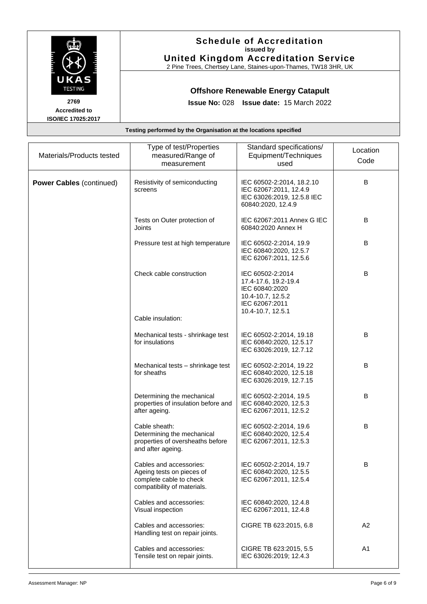

**Accredited to ISO/IEC 17025:2017**

#### **Schedule of Accreditation issued by United Kingdom Accreditation Service**

2 Pine Trees, Chertsey Lane, Staines-upon-Thames, TW18 3HR, UK

### **Offshore Renewable Energy Catapult**

**Issue No:** 028 **Issue date:** 15 March 2022

Materials/Products tested Type of test/Properties measured/Range of measurement Standard specifications/ Equipment/Techniques used Location Code **Power Cables** (continued) | Resistivity of semiconducting screens IEC 60502-2:2014, 18.2.10 IEC 62067:2011, 12.4.9 B IEC 63026:2019, 12.5.8 IEC 60840:2020, 12.4.9 Tests on Outer protection of Joints IEC 62067:2011 Annex G IEC 60840:2020 Annex H B Pressure test at high temperature  $\parallel$  IEC 60502-2:2014, 19.9 IEC 60840:2020, 12.5.7 IEC 62067:2011, 12.5.6 B Check cable construction **IEC 60502-2:2014** 17.4-17.6, 19.2-19.4 IEC 60840:2020 10.4-10.7, 12.5.2 IEC 62067:2011 10.4-10.7, 12.5.1 B Cable insulation: Mechanical tests - shrinkage test for insulations IEC 60502-2:2014, 19.18 IEC 60840:2020, 12.5.17 IEC 63026:2019, 12.7.12 B Mechanical tests – shrinkage test for sheaths IEC 60502-2:2014, 19.22 IEC 60840:2020, 12.5.18 IEC 63026:2019, 12.7.15 B Determining the mechanical properties of insulation before and after ageing. IEC 60502-2:2014, 19.5 IEC 60840:2020, 12.5.3 IEC 62067:2011, 12.5.2 B Cable sheath: Determining the mechanical properties of oversheaths before and after ageing. IEC 60502-2:2014, 19.6 IEC 60840:2020, 12.5.4 IEC 62067:2011, 12.5.3 B Cables and accessories: Ageing tests on pieces of complete cable to check compatibility of materials. IEC 60502-2:2014, 19.7 IEC 60840:2020, 12.5.5 IEC 62067:2011, 12.5.4 B Cables and accessories: Visual inspection IEC 60840:2020, 12.4.8 IEC 62067:2011, 12.4.8 Cables and accessories: Handling test on repair joints. CIGRE TB 623:2015, 6.8 A2 Cables and accessories: Tensile test on repair joints. CIGRE TB 623:2015, 5.5 IEC 63026:2019; 12.4.3 A1

**Testing performed by the Organisation at the locations specified**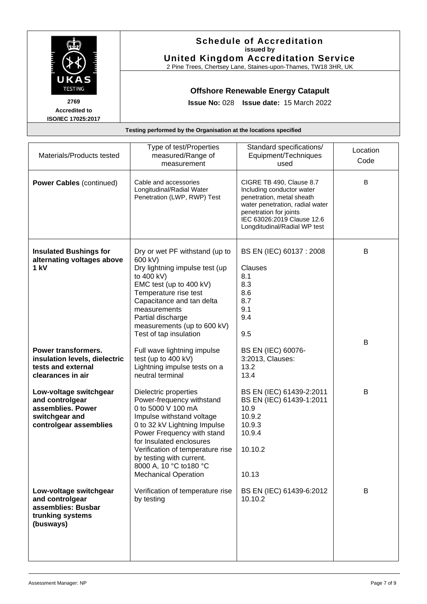|                                                           | <b>Schedule of Accreditation</b><br>issued by<br><b>United Kingdom Accreditation Service</b><br>2 Pine Trees, Chertsey Lane, Staines-upon-Thames, TW18 3HR, UK |
|-----------------------------------------------------------|----------------------------------------------------------------------------------------------------------------------------------------------------------------|
| UKAS<br><b>TESTING</b>                                    | <b>Offshore Renewable Energy Catapult</b>                                                                                                                      |
| 2769<br><b>Accredited to</b><br><b>ISO/IEC 17025:2017</b> | <b>Issue No: 028 Issue date: 15 March 2022</b>                                                                                                                 |
|                                                           | Testing performed by the Organisation at the locations specified                                                                                               |

| Materials/Products tested                                                                                  | Type of test/Properties<br>measured/Range of<br>measurement                                                                                                                                                                                                                                                               | Standard specifications/<br>Equipment/Techniques<br>used                                                                                                                                                      | Location<br>Code |
|------------------------------------------------------------------------------------------------------------|---------------------------------------------------------------------------------------------------------------------------------------------------------------------------------------------------------------------------------------------------------------------------------------------------------------------------|---------------------------------------------------------------------------------------------------------------------------------------------------------------------------------------------------------------|------------------|
| <b>Power Cables (continued)</b>                                                                            | Cable and accessories<br>Longitudinal/Radial Water<br>Penetration (LWP, RWP) Test                                                                                                                                                                                                                                         | CIGRE TB 490, Clause 8.7<br>Including conductor water<br>penetration, metal sheath<br>water penetration, radial water<br>penetration for joints<br>IEC 63026:2019 Clause 12.6<br>Longditudinal/Radial WP test | B                |
| <b>Insulated Bushings for</b><br>alternating voltages above<br>1 kV                                        | Dry or wet PF withstand (up to<br>600 kV)<br>Dry lightning impulse test (up<br>to 400 kV)<br>EMC test (up to 400 kV)<br>Temperature rise test<br>Capacitance and tan delta<br>measurements<br>Partial discharge<br>measurements (up to 600 kV)<br>Test of tap insulation                                                  | BS EN (IEC) 60137 : 2008<br>Clauses<br>8.1<br>8.3<br>8.6<br>8.7<br>9.1<br>9.4<br>9.5                                                                                                                          | В                |
| Power transformers.<br>insulation levels, dielectric<br>tests and external<br>clearances in air            | Full wave lightning impulse<br>test (up to 400 kV)<br>Lightning impulse tests on a<br>neutral terminal                                                                                                                                                                                                                    | BS EN (IEC) 60076-<br>3:2013, Clauses:<br>13.2<br>13.4                                                                                                                                                        | B                |
| Low-voltage switchgear<br>and controlgear<br>assemblies. Power<br>switchgear and<br>controlgear assemblies | Dielectric properties<br>Power-frequency withstand<br>0 to 5000 V 100 mA<br>Impulse withstand voltage<br>0 to 32 kV Lightning Impulse<br>Power Frequency with stand<br>for Insulated enclosures<br>Verification of temperature rise<br>by testing with current.<br>8000 A, 10 °C to 180 °C<br><b>Mechanical Operation</b> | BS EN (IEC) 61439-2:2011<br>BS EN (IEC) 61439-1:2011<br>10.9<br>10.9.2<br>10.9.3<br>10.9.4<br>10.10.2<br>10.13                                                                                                | В                |
| Low-voltage switchgear<br>and controlgear<br>assemblies: Busbar<br>trunking systems<br>(busways)           | Verification of temperature rise<br>by testing                                                                                                                                                                                                                                                                            | BS EN (IEC) 61439-6:2012<br>10.10.2                                                                                                                                                                           | B                |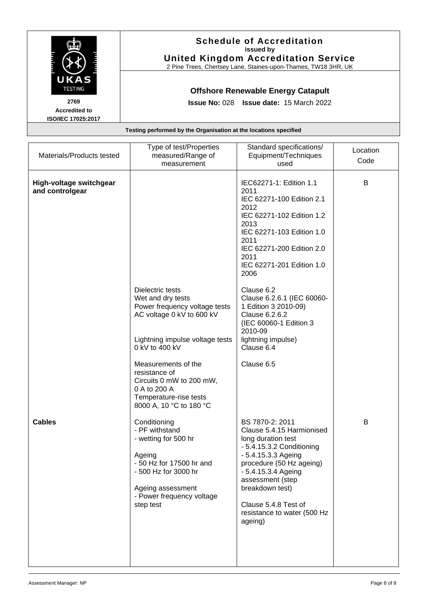|                                                           | <b>Schedule of Accreditation</b><br>issued by<br><b>United Kingdom Accreditation Service</b><br>2 Pine Trees, Chertsey Lane, Staines-upon-Thames, TW18 3HR, UK |
|-----------------------------------------------------------|----------------------------------------------------------------------------------------------------------------------------------------------------------------|
| UKAS<br><b>TESTING</b>                                    | <b>Offshore Renewable Energy Catapult</b>                                                                                                                      |
| 2769<br><b>Accredited to</b><br><b>ISO/IEC 17025:2017</b> | Issue No: 028 Issue date: 15 March 2022                                                                                                                        |
|                                                           | Testing performed by the Organisation at the locations specified                                                                                               |

| Materials/Products tested                  | Type of test/Properties<br>measured/Range of<br>measurement                                                                                                                                                                                                                                       | Standard specifications/<br>Equipment/Techniques<br>used                                                                                                                                                                                                                           | Location<br>Code |
|--------------------------------------------|---------------------------------------------------------------------------------------------------------------------------------------------------------------------------------------------------------------------------------------------------------------------------------------------------|------------------------------------------------------------------------------------------------------------------------------------------------------------------------------------------------------------------------------------------------------------------------------------|------------------|
| High-voltage switchgear<br>and controlgear |                                                                                                                                                                                                                                                                                                   | IEC62271-1: Edition 1.1<br>2011<br>IEC 62271-100 Edition 2.1<br>2012<br>IEC 62271-102 Edition 1.2<br>2013<br>IEC 62271-103 Edition 1.0<br>2011<br>IEC 62271-200 Edition 2.0<br>2011<br>IEC 62271-201 Edition 1.0<br>2006                                                           | B                |
|                                            | Dielectric tests<br>Wet and dry tests<br>Power frequency voltage tests<br>AC voltage 0 kV to 600 kV<br>Lightning impulse voltage tests<br>0 kV to 400 kV<br>Measurements of the<br>resistance of<br>Circuits 0 mW to 200 mW,<br>0 A to 200 A<br>Temperature-rise tests<br>8000 A, 10 °C to 180 °C | Clause 6.2<br>Clause 6.2.6.1 (IEC 60060-<br>1 Edition 3 2010-09)<br>Clause 6.2.6.2<br>(IEC 60060-1 Edition 3<br>2010-09<br>lightning impulse)<br>Clause 6.4<br>Clause 6.5                                                                                                          |                  |
| <b>Cables</b>                              | Conditioning<br>- PF withstand<br>- wetting for 500 hr<br>Ageing<br>- 50 Hz for 17500 hr and<br>- 500 Hz for 3000 hr<br>Ageing assessment<br>- Power frequency voltage<br>step test                                                                                                               | BS 7870-2: 2011<br>Clause 5.4.15 Harmionised<br>long duration test<br>- 5.4.15.3.2 Conditioning<br>- 5.4.15.3.3 Ageing<br>procedure (50 Hz ageing)<br>- 5.4.15.3.4 Ageing<br>assessment (step<br>breakdown test)<br>Clause 5.4.8 Test of<br>resistance to water (500 Hz<br>ageing) | B                |